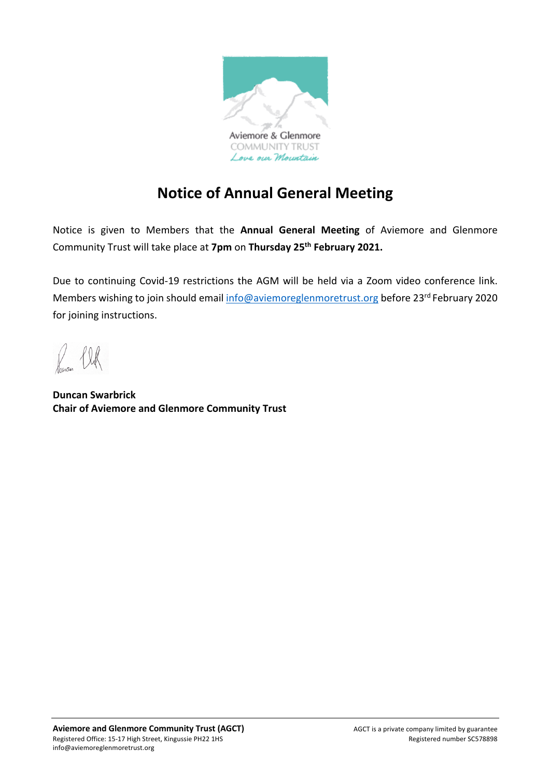

# **Notice of Annual General Meeting**

Notice is given to Members that the **Annual General Meeting** of Aviemore and Glenmore Community Trust will take place at **7pm** on **Thursday 25th February 2021.** 

Due to continuing Covid-19 restrictions the AGM will be held via a Zoom video conference link. Members wishing to join should email info@aviemoreglenmoretrust.org before 23rd February 2020 for joining instructions.

 $\frac{1}{2}$ 

**Duncan Swarbrick Chair of Aviemore and Glenmore Community Trust**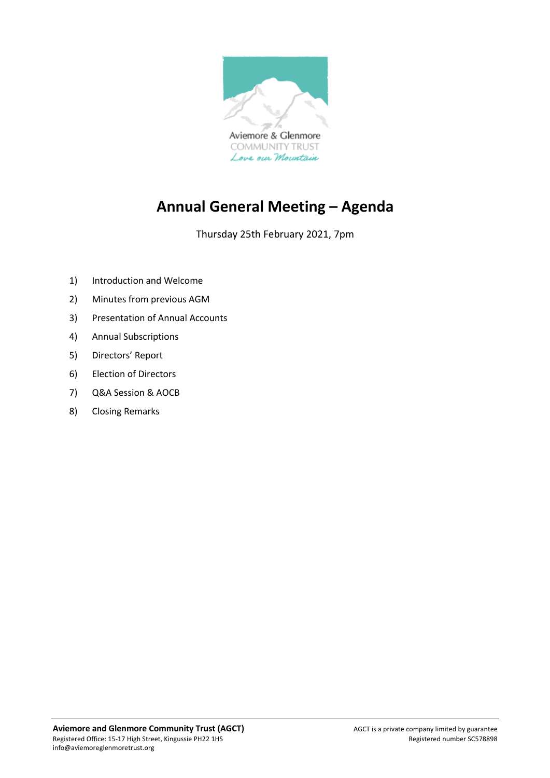

# **Annual General Meeting – Agenda**

Thursday 25th February 2021, 7pm

- 1) Introduction and Welcome
- 2) Minutes from previous AGM
- 3) Presentation of Annual Accounts
- 4) Annual Subscriptions
- 5) Directors' Report
- 6) Election of Directors
- 7) Q&A Session & AOCB
- 8) Closing Remarks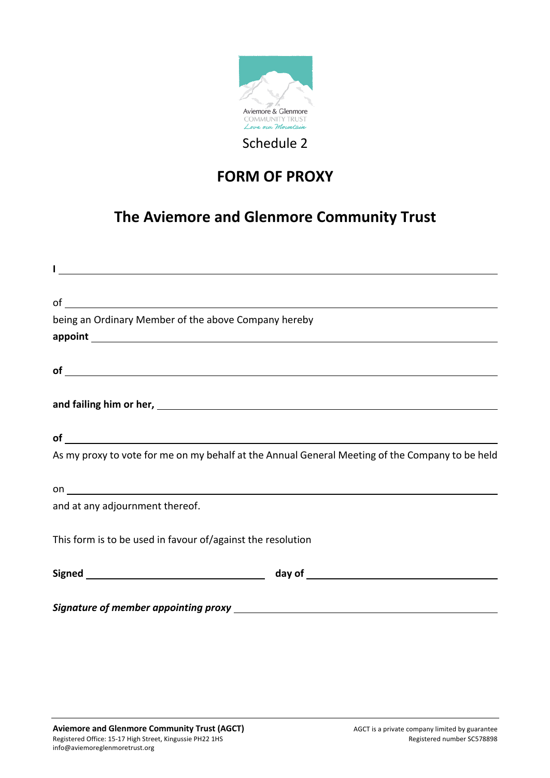

## **FORM OF PROXY**

## **The Aviemore and Glenmore Community Trust**

| $\sigma$ of $\sigma$                                                                            |  |
|-------------------------------------------------------------------------------------------------|--|
| being an Ordinary Member of the above Company hereby                                            |  |
|                                                                                                 |  |
|                                                                                                 |  |
| $of$ $\overline{\phantom{a}}$                                                                   |  |
|                                                                                                 |  |
|                                                                                                 |  |
| $of$ $\overline{\phantom{a}}$                                                                   |  |
| As my proxy to vote for me on my behalf at the Annual General Meeting of the Company to be held |  |
|                                                                                                 |  |
| and at any adjournment thereof.                                                                 |  |
| This form is to be used in favour of/against the resolution                                     |  |
|                                                                                                 |  |
|                                                                                                 |  |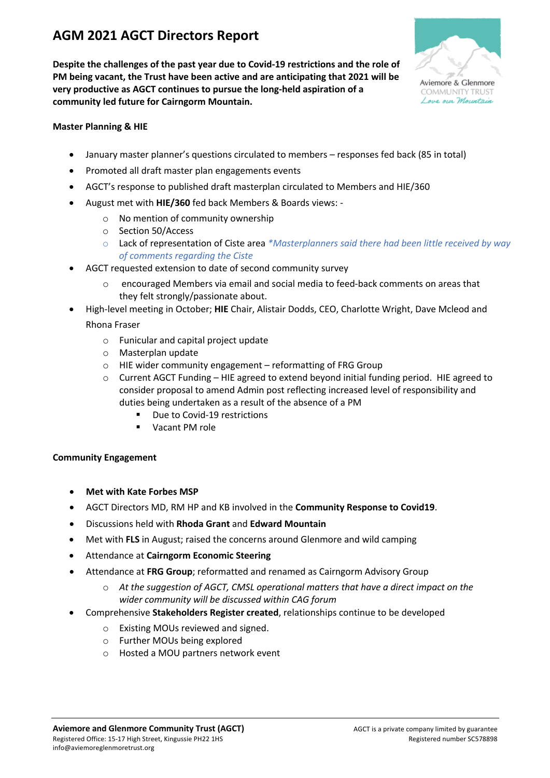### **AGM 2021 AGCT Directors Report**

**Despite the challenges of the past year due to Covid-19 restrictions and the role of PM being vacant, the Trust have been active and are anticipating that 2021 will be very productive as AGCT continues to pursue the long-held aspiration of a community led future for Cairngorm Mountain.** 



**Master Planning & HIE**

- January master planner's questions circulated to members responses fed back (85 in total)
- Promoted all draft master plan engagements events
- AGCT's response to published draft masterplan circulated to Members and HIE/360
- August met with **HIE/360** fed back Members & Boards views:
	- $\circ$  No mention of community ownership
	- o Section 50/Access
	- o Lack of representation of Ciste area *\*Masterplanners said there had been little received by way of comments regarding the Ciste*
- AGCT requested extension to date of second community survey
	- o encouraged Members via email and social media to feed-back comments on areas that they felt strongly/passionate about.
- High-level meeting in October; **HIE** Chair, Alistair Dodds, CEO, Charlotte Wright, Dave Mcleod and Rhona Fraser
	- o Funicular and capital project update
	- o Masterplan update
	- o HIE wider community engagement reformatting of FRG Group
	- $\circ$  Current AGCT Funding HIE agreed to extend beyond initial funding period. HIE agreed to consider proposal to amend Admin post reflecting increased level of responsibility and duties being undertaken as a result of the absence of a PM
		- Due to Covid-19 restrictions
		- Vacant PM role

#### **Community Engagement**

- **Met with Kate Forbes MSP**
- AGCT Directors MD, RM HP and KB involved in the **Community Response to Covid19**.
- Discussions held with **Rhoda Grant** and **Edward Mountain**
- Met with **FLS** in August; raised the concerns around Glenmore and wild camping
- Attendance at **Cairngorm Economic Steering**
- Attendance at **FRG Group**; reformatted and renamed as Cairngorm Advisory Group
	- o *At the suggestion of AGCT, CMSL operational matters that have a direct impact on the wider community will be discussed within CAG forum*
	- Comprehensive **Stakeholders Register created**, relationships continue to be developed
		- o Existing MOUs reviewed and signed.
		- o Further MOUs being explored
		- o Hosted a MOU partners network event